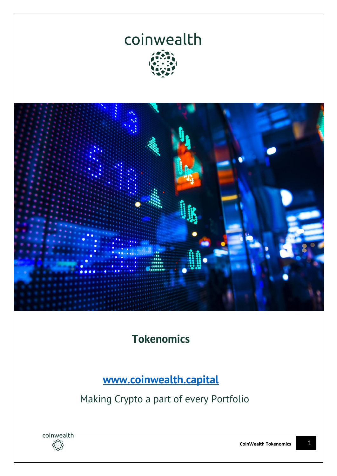



**Tokenomics**

**[www.coinwealth.capital](http://www.coinwealth.capital/)**

Making Crypto a part of every Portfolio

coinwealth -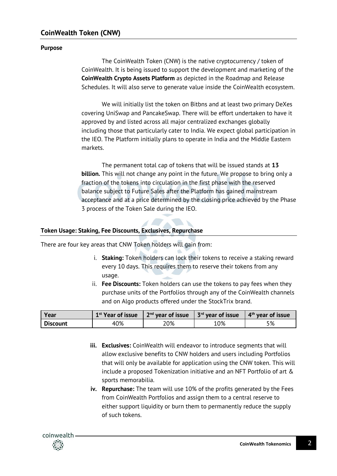## **Purpose**

The CoinWealth Token (CNW) is the native cryptocurrency / token of CoinWealth. It is being issued to support the development and marketing of the **CoinWealth Crypto Assets Platform** as depicted in the Roadmap and Release Schedules. It will also serve to generate value inside the CoinWealth ecosystem.

We will initially list the token on Bitbns and at least two primary DeXes covering UniSwap and PancakeSwap. There will be effort undertaken to have it approved by and listed across all major centralized exchanges globally including those that particularly cater to India. We expect global participation in the IEO. The Platform initially plans to operate in India and the Middle Eastern markets.

The permanent total cap of tokens that will be issued stands at **13 billion.** This will not change any point in the future. We propose to bring only a fraction of the tokens into circulation in the first phase with the reserved balance subject to Future Sales after the Platform has gained mainstream acceptance and at a price determined by the closing price achieved by the Phase 3 process of the Token Sale during the IEO.

## **Token Usage: Staking, Fee Discounts, Exclusives, Repurchase**

There are four key areas that CNW Token holders will gain from:

 $\mathcal{A}$  . The set of  $\mathcal{A}$ 

- i. **Staking:** Token holders can lock their tokens to receive a staking reward every 10 days. This requires them to reserve their tokens from any usage.
- ii. **Fee Discounts:** Token holders can use the tokens to pay fees when they purchase units of the Portfolios through any of the CoinWealth channels and on Algo products offered under the StockTrix brand.

| Year            | 1 <sup>st</sup> Year of issue | $2nd$ year of issue | 3 <sup>rd</sup> year of issue | $4th$ year of issue |
|-----------------|-------------------------------|---------------------|-------------------------------|---------------------|
| <b>Discount</b> | 40%                           | 20%                 | 10%                           | 5%                  |

- **iii. Exclusives:** CoinWealth will endeavor to introduce segments that will allow exclusive benefits to CNW holders and users including Portfolios that will only be available for application using the CNW token. This will include a proposed Tokenization initiative and an NFT Portfolio of art & sports memorabilia.
- **iv. Repurchase:** The team will use 10% of the profits generated by the Fees from CoinWealth Portfolios and assign them to a central reserve to either support liquidity or burn them to permanently reduce the supply of such tokens.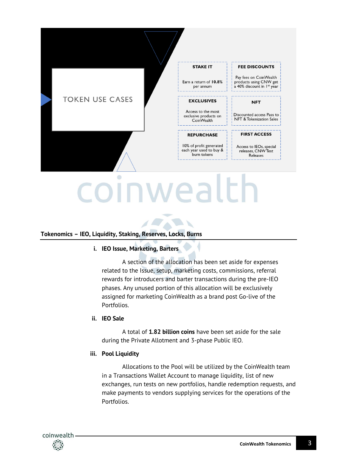

# **Tokenomics – IEO, Liquidity, Staking, Reserves, Locks, Burns**

#### **i. IEO Issue, Marketing, Barters**

A section of the allocation has been set aside for expenses related to the Issue, setup, marketing costs, commissions, referral rewards for introducers and barter transactions during the pre-IEO phases. Any unused portion of this allocation will be exclusively assigned for marketing CoinWealth as a brand post Go-live of the Portfolios.

#### **ii. IEO Sale**

A total of **1.82 billion coins** have been set aside for the sale during the Private Allotment and 3-phase Public IEO.

#### **iii. Pool Liquidity**

Allocations to the Pool will be utilized by the CoinWealth team in a Transactions Wallet Account to manage liquidity, list of new exchanges, run tests on new portfolios, handle redemption requests, and make payments to vendors supplying services for the operations of the Portfolios.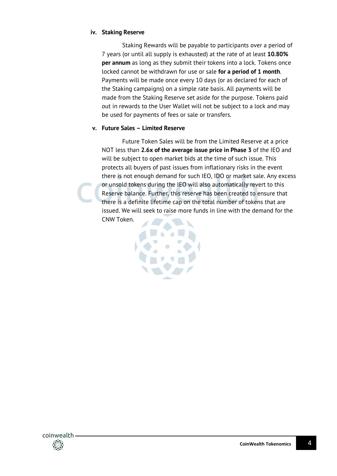#### **iv. Staking Reserve**

Staking Rewards will be payable to participants over a period of 7 years (or until all supply is exhausted) at the rate of at least **10.80% per annum** as long as they submit their tokens into a lock. Tokens once locked cannot be withdrawn for use or sale **for a period of 1 month**. Payments will be made once every 10 days (or as declared for each of the Staking campaigns) on a simple rate basis. All payments will be made from the Staking Reserve set aside for the purpose. Tokens paid out in rewards to the User Wallet will not be subject to a lock and may be used for payments of fees or sale or transfers.

## **v. Future Sales – Limited Reserve**

Future Token Sales will be from the Limited Reserve at a price NOT less than **2.6x of the average issue price in Phase 3** of the IEO and will be subject to open market bids at the time of such issue. This protects all buyers of past issues from inflationary risks in the event there is not enough demand for such IEO, IDO or market sale. Any excess or unsold tokens during the IEO will also automatically revert to this Reserve balance. Further, this reserve has been created to ensure that there is a definite lifetime cap on the total number of tokens that are issued. We will seek to raise more funds in line with the demand for the CNW Token.

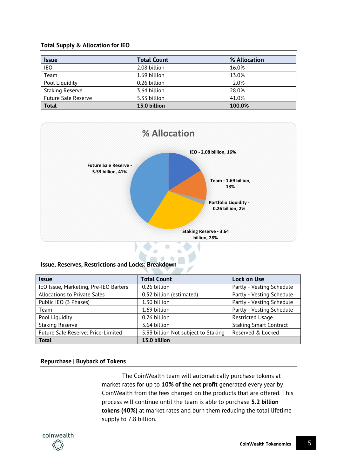## **Total Supply & Allocation for IEO**

| <b>Issue</b>               | <b>Total Count</b> | % Allocation |
|----------------------------|--------------------|--------------|
| <b>IEO</b>                 | 2.08 billion       | 16.0%        |
| Team                       | 1.69 billion       | 13.0%        |
| Pool Liquidity             | 0.26 billion       | 2.0%         |
| <b>Staking Reserve</b>     | 3.64 billion       | 28.0%        |
| <b>Future Sale Reserve</b> | 5.33 billion       | 41.0%        |
| <b>Total</b>               | 13.0 billion       | 100.0%       |



#### **Issue, Reserves, Restrictions and Locks: Breakdown**

| <b>Issue</b>                          | <b>Total Count</b>                  | <b>Lock on Use</b>            |
|---------------------------------------|-------------------------------------|-------------------------------|
| IEO Issue, Marketing, Pre-IEO Barters | 0.26 billion                        | Partly - Vesting Schedule     |
| <b>Allocations to Private Sales</b>   | 0.52 billion (estimated)            | Partly - Vesting Schedule     |
| Public IEO (3 Phases)                 | 1.30 billion                        | Partly - Vesting Schedule     |
| Team                                  | 1.69 billion                        | Partly - Vesting Schedule     |
| Pool Liquidity                        | 0.26 billion                        | <b>Restricted Usage</b>       |
| <b>Staking Reserve</b>                | 3.64 billion                        | <b>Staking Smart Contract</b> |
| Future Sale Reserve: Price-Limited    | 5.33 billion Not subject to Staking | Reserved & Locked             |
| <b>Total</b>                          | 13.0 billion                        |                               |

## **Repurchase | Buyback of Tokens**

The CoinWealth team will automatically purchase tokens at market rates for up to **10% of the net profit** generated every year by CoinWealth from the fees charged on the products that are offered. This process will continue until the team is able to purchase **5.2 billion tokens (40%)** at market rates and burn them reducing the total lifetime supply to 7.8 billion.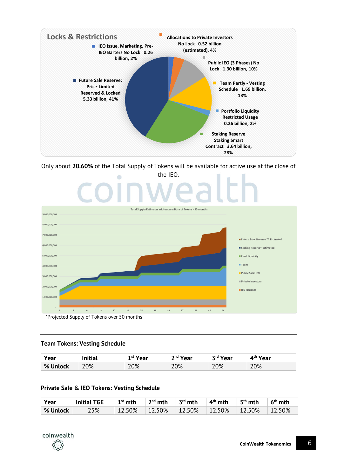

Only about **20.60%** of the Total Supply of Tokens will be available for active use at the close of



## **Team Tokens: Vesting Schedule**

| Vear     | <b>Initial</b> | 1 <sup>st</sup> Year | <sup>ית Year</sup> | zrd.<br><b>Year</b> | 4 <sup>th</sup> Year |
|----------|----------------|----------------------|--------------------|---------------------|----------------------|
| % Unlock | 20%            | 20%                  | 20%                | 20%                 | 20%                  |

#### **Private Sale & IEO Tokens: Vesting Schedule**

| Year      | <b>Initial TGE</b> | $\perp$ 1st mth | $2nd$ mth | $\parallel$ 3 <sup>rd</sup> mth | ∣ 4 <sup>th</sup> mth                                                               | $\perp$ 5 <sup>th</sup> mth | 6 <sup>th</sup> mth |
|-----------|--------------------|-----------------|-----------|---------------------------------|-------------------------------------------------------------------------------------|-----------------------------|---------------------|
| ∣% Unlock | 25%                |                 |           |                                 | $\mid$ 12.50% $\mid$ 12.50% $\mid$ 12.50% $\mid$ 12.50% $\mid$ 12.50% $\mid$ 12.50% |                             |                     |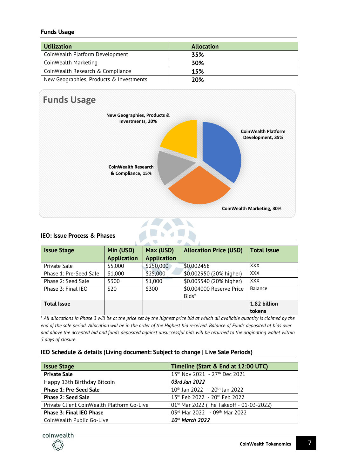#### **Funds Usage**

| <b>Utilization</b>                      | <b>Allocation</b> |
|-----------------------------------------|-------------------|
| CoinWealth Platform Development         | 35%               |
| CoinWealth Marketing                    | 30%               |
| CoinWealth Research & Compliance        | 15%               |
| New Geographies, Products & Investments | 20%               |



## **IEO: Issue Process & Phases**

| <b>Issue Stage</b>     | Min (USD)          | Max (USD)          | <b>Allocation Price (USD)</b> | <b>Total Issue</b> |
|------------------------|--------------------|--------------------|-------------------------------|--------------------|
|                        | <b>Application</b> | <b>Application</b> |                               |                    |
| Private Sale           | \$5,000            | \$250,000          | \$0.002458                    | <b>XXX</b>         |
| Phase 1: Pre-Seed Sale | \$1,000            | \$25,000           | \$0.002950 (20% higher)       | <b>XXX</b>         |
| Phase 2: Seed Sale     | \$300              | \$1,000            | \$0.003540 (20% higher)       | <b>XXX</b>         |
| Phase 3: Final IEO     | \$20               | \$300              | \$0.004000 Reserve Price      | Balance            |
|                        |                    |                    | Bids*                         |                    |
| <b>Total Issue</b>     |                    |                    |                               | 1.82 billion       |
|                        |                    |                    |                               | tokens             |

*\* All allocations in Phase 3 will be at the price set by the highest price bid at which all available quantity is claimed by the end of the sale period. Allocation will be in the order of the Highest bid received. Balance of Funds deposited at bids over and above the accepted bid and funds deposited against unsuccessful bids will be returned to the originating wallet within 5 days of closure.*

#### **IEO Schedule & details (Living document: Subject to change | Live Sale Periods)**

| <b>Issue Stage</b>                         | Timeline (Start & End at 12:00 UTC)                  |
|--------------------------------------------|------------------------------------------------------|
| <b>Private Sale</b>                        | 13th Nov 2021 - 27th Dec 2021                        |
| Happy 13th Birthday Bitcoin                | 03rd Jan 2022                                        |
| <b>Phase 1: Pre-Seed Sale</b>              | $10^{th}$ Jan 2022 - 20 <sup>th</sup> Jan 2022       |
| <b>Phase 2: Seed Sale</b>                  | 13th Feb 2022 - 20th Feb 2022                        |
| Private Client CoinWealth Platform Go-Live | 01 <sup>st</sup> Mar 2022 (The Takeoff - 01-03-2022) |
| <b>Phase 3: Final IEO Phase</b>            | 03rd Mar 2022 - 09th Mar 2022                        |
| CoinWealth Public Go-Live                  | 10th March 2022                                      |

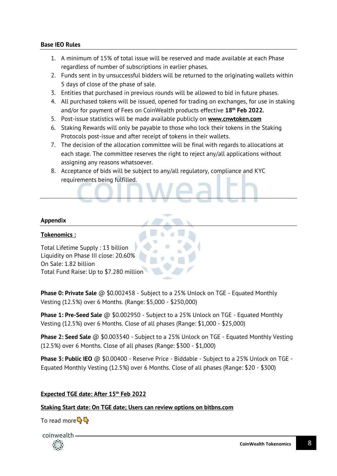## **Base IEO Rules**

- 1. A minimum of 15% of total issue will be reserved and made available at each Phase regardless of number of subscriptions in earlier phases.
- 2. Funds sent in by unsuccessful bidders will be returned to the originating wallets within 5 days of close of the phase of sale.
- 3. Entities that purchased in previous rounds will be allowed to bid in future phases.
- 4. All purchased tokens will be issued, opened for trading on exchanges, for use in staking and/or for payment of Fees on CoinWealth products effective **18 th Feb 2022.**
- 5. Post-issue statistics will be made available publicly on **www.cnwtoken.com**
- 6. Staking Rewards will only be payable to those who lock their tokens in the Staking Protocols post-issue and after receipt of tokens in their wallets.
- 7. The decision of the allocation committee will be final with regards to allocations at each stage. The committee reserves the right to reject any/all applications without assigning any reasons whatsoever.
- 8. Acceptance of bids will be subject to any/all regulatory, compliance and KYC requirements being fulfilled.

## **Appendix**

## **Tokenomics :**

Total Lifetime Supply : 13 billion Liquidity on Phase III close: 20.60% On Sale: 1.82 billion Total Fund Raise: Up to \$7.280 million

**Phase 0: Private Sale** @ \$0.002458 - Subject to a 25% Unlock on TGE - Equated Monthly Vesting (12.5%) over 6 Months. (Range: \$5,000 - \$250,000)

**Phase 1: Pre-Seed Sale** @ \$0.002950 - Subject to a 25% Unlock on TGE - Equated Monthly Vesting (12.5%) over 6 Months. Close of all phases (Range: \$1,000 - \$25,000)

**Phase 2: Seed Sale** @ \$0.003540 - Subject to a 25% Unlock on TGE - Equated Monthly Vesting (12.5%) over 6 Months. Close of all phases (Range: \$300 - \$1,000)

**Phase 3: Public IEO** @ \$0.00400 - Reserve Price - Biddable - Subject to a 25% Unlock on TGE - Equated Monthly Vesting (12.5%) over 6 Months. Close of all phases (Range: \$20 - \$300)

## **Expected TGE date: After 15th Feb 2022**

## **Staking Start date: On TGE date; Users can review options on bitbns.com**

To read more  $\mathbb{Q}$